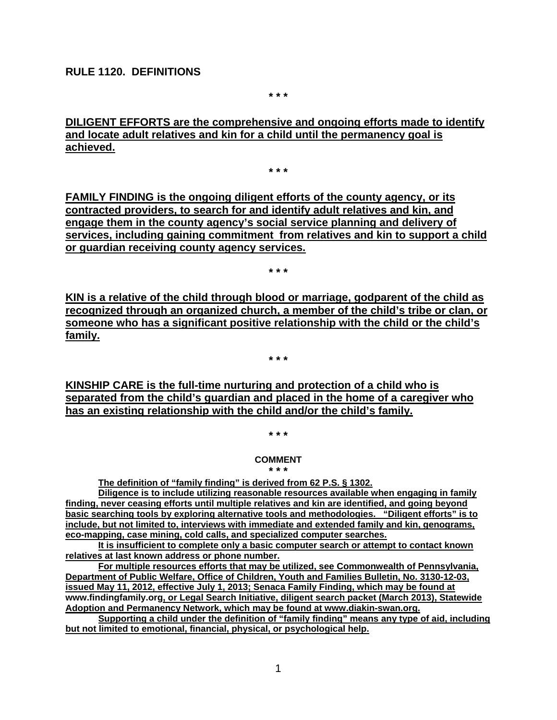### **RULE 1120. DEFINITIONS**

**\* \* \***

**DILIGENT EFFORTS are the comprehensive and ongoing efforts made to identify and locate adult relatives and kin for a child until the permanency goal is achieved.** 

**\* \* \***

**FAMILY FINDING is the ongoing diligent efforts of the county agency, or its contracted providers, to search for and identify adult relatives and kin, and engage them in the county agency's social service planning and delivery of services, including gaining commitment from relatives and kin to support a child or guardian receiving county agency services.**

**\* \* \***

**KIN is a relative of the child through blood or marriage, godparent of the child as recognized through an organized church, a member of the child's tribe or clan, or someone who has a significant positive relationship with the child or the child's family.**

**\* \* \***

**KINSHIP CARE is the full-time nurturing and protection of a child who is separated from the child's guardian and placed in the home of a caregiver who has an existing relationship with the child and/or the child's family.** 

**\* \* \***

#### **COMMENT**

#### **\* \* \***

**The definition of "family finding" is derived from 62 P.S. § 1302.** 

**Diligence is to include utilizing reasonable resources available when engaging in family finding, never ceasing efforts until multiple relatives and kin are identified, and going beyond basic searching tools by exploring alternative tools and methodologies. "Diligent efforts" is to include, but not limited to, interviews with immediate and extended family and kin, genograms, eco-mapping, case mining, cold calls, and specialized computer searches.**

**It is insufficient to complete only a basic computer search or attempt to contact known relatives at last known address or phone number.** 

**For multiple resources efforts that may be utilized, see Commonwealth of Pennsylvania, Department of Public Welfare, Office of Children, Youth and Families Bulletin, No. 3130-12-03, issued May 11, 2012, effective July 1, 2013; Senaca Family Finding, which may be found at www.findingfamily.org, or Legal Search Initiative, diligent search packet (March 2013), Statewide Adoption and Permanency Network, which may be found at www.diakin-swan.org.** 

**Supporting a child under the definition of "family finding" means any type of aid, including but not limited to emotional, financial, physical, or psychological help.**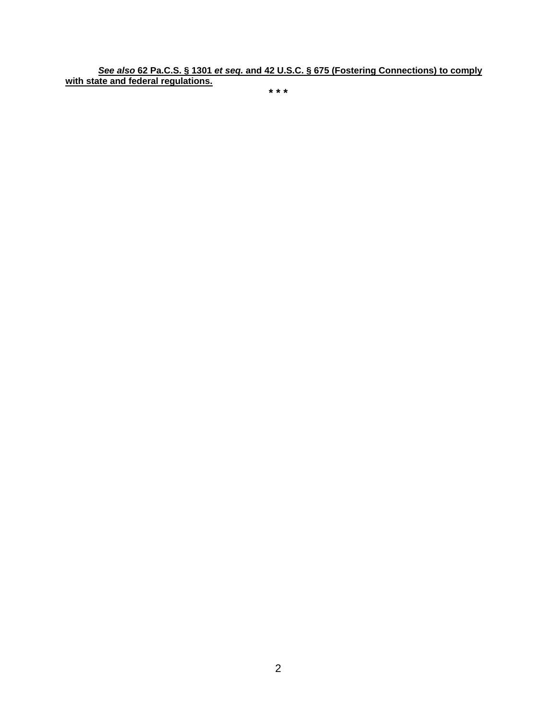*See also* **62 Pa.C.S. § 1301** *et seq.* **and 42 U.S.C. § 675 (Fostering Connections) to comply with state and federal regulations.**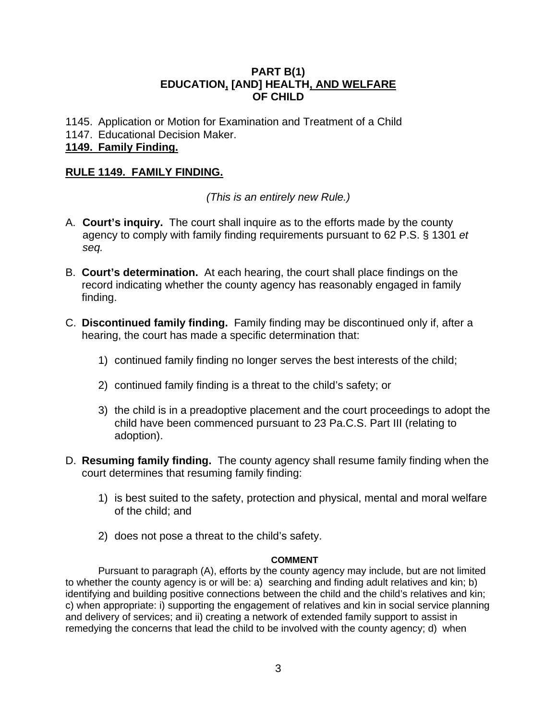# **PART B(1) EDUCATION, [AND] HEALTH, AND WELFARE OF CHILD**

- 1145. Application or Motion for Examination and Treatment of a Child
- 1147. Educational Decision Maker.

# **1149. Family Finding.**

# **RULE 1149. FAMILY FINDING.**

*(This is an entirely new Rule.)*

- A. **Court's inquiry.** The court shall inquire as to the efforts made by the county agency to comply with family finding requirements pursuant to 62 P.S. § 1301 *et seq.*
- B. **Court's determination.** At each hearing, the court shall place findings on the record indicating whether the county agency has reasonably engaged in family finding.
- C. **Discontinued family finding.** Family finding may be discontinued only if, after a hearing, the court has made a specific determination that:
	- 1) continued family finding no longer serves the best interests of the child;
	- 2) continued family finding is a threat to the child's safety; or
	- 3) the child is in a preadoptive placement and the court proceedings to adopt the child have been commenced pursuant to 23 Pa.C.S. Part III (relating to adoption).
- D. **Resuming family finding.** The county agency shall resume family finding when the court determines that resuming family finding:
	- 1) is best suited to the safety, protection and physical, mental and moral welfare of the child; and
	- 2) does not pose a threat to the child's safety.

### **COMMENT**

Pursuant to paragraph (A), efforts by the county agency may include, but are not limited to whether the county agency is or will be: a) searching and finding adult relatives and kin; b) identifying and building positive connections between the child and the child's relatives and kin; c) when appropriate: i) supporting the engagement of relatives and kin in social service planning and delivery of services; and ii) creating a network of extended family support to assist in remedying the concerns that lead the child to be involved with the county agency; d) when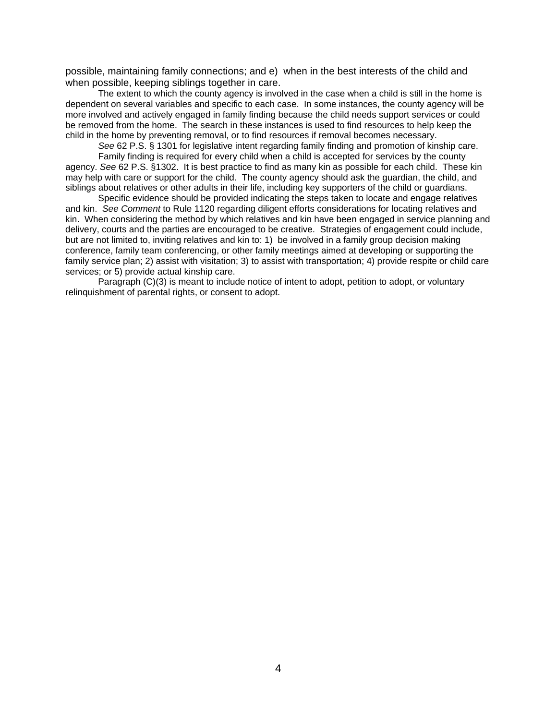possible, maintaining family connections; and e) when in the best interests of the child and when possible, keeping siblings together in care.

The extent to which the county agency is involved in the case when a child is still in the home is dependent on several variables and specific to each case. In some instances, the county agency will be more involved and actively engaged in family finding because the child needs support services or could be removed from the home. The search in these instances is used to find resources to help keep the child in the home by preventing removal, or to find resources if removal becomes necessary.

*See* 62 P.S. § 1301 for legislative intent regarding family finding and promotion of kinship care.

Family finding is required for every child when a child is accepted for services by the county agency. *See* 62 P.S. §1302. It is best practice to find as many kin as possible for each child. These kin may help with care or support for the child. The county agency should ask the guardian, the child, and siblings about relatives or other adults in their life, including key supporters of the child or guardians.

Specific evidence should be provided indicating the steps taken to locate and engage relatives and kin. *See Comment* to Rule 1120 regarding diligent efforts considerations for locating relatives and kin. When considering the method by which relatives and kin have been engaged in service planning and delivery, courts and the parties are encouraged to be creative. Strategies of engagement could include, but are not limited to, inviting relatives and kin to: 1) be involved in a family group decision making conference, family team conferencing, or other family meetings aimed at developing or supporting the family service plan; 2) assist with visitation; 3) to assist with transportation; 4) provide respite or child care services; or 5) provide actual kinship care.

Paragraph (C)(3) is meant to include notice of intent to adopt, petition to adopt, or voluntary relinquishment of parental rights, or consent to adopt.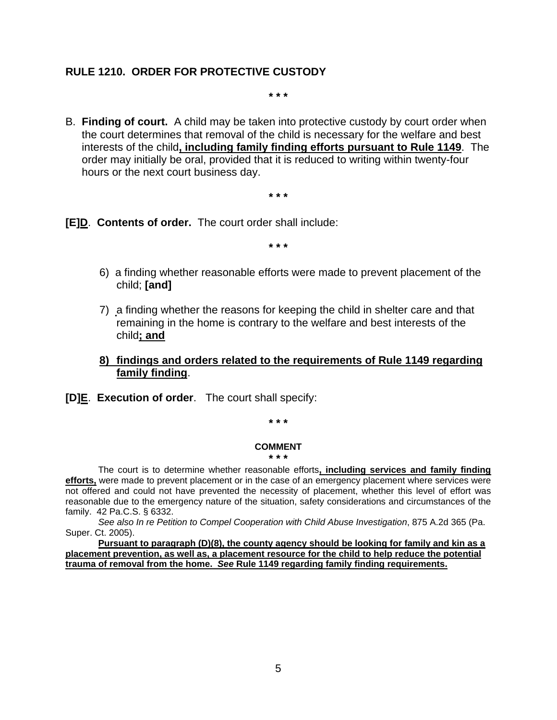### **RULE 1210. ORDER FOR PROTECTIVE CUSTODY**

**\* \* \***

B. **Finding of court.** A child may be taken into protective custody by court order when the court determines that removal of the child is necessary for the welfare and best interests of the child**, including family finding efforts pursuant to Rule 1149**. The order may initially be oral, provided that it is reduced to writing within twenty-four hours or the next court business day.

**\* \* \***

**[E]D**. **Contents of order.** The court order shall include:

**\* \* \***

- 6) a finding whether reasonable efforts were made to prevent placement of the child; **[and]**
- 7) a finding whether the reasons for keeping the child in shelter care and that remaining in the home is contrary to the welfare and best interests of the child**; and**
- **8) findings and orders related to the requirements of Rule 1149 regarding family finding**.
- **[D]E**. **Execution of order**. The court shall specify:

**\* \* \***

#### **COMMENT \* \* \***

The court is to determine whether reasonable efforts**, including services and family finding efforts,** were made to prevent placement or in the case of an emergency placement where services were not offered and could not have prevented the necessity of placement, whether this level of effort was reasonable due to the emergency nature of the situation, safety considerations and circumstances of the family. 42 Pa.C.S. § 6332.

*See also In re Petition to Compel Cooperation with Child Abuse Investigation*, 875 A.2d 365 (Pa. Super. Ct. 2005).

**Pursuant to paragraph (D)(8), the county agency should be looking for family and kin as a placement prevention, as well as, a placement resource for the child to help reduce the potential trauma of removal from the home.** *See* **Rule 1149 regarding family finding requirements.**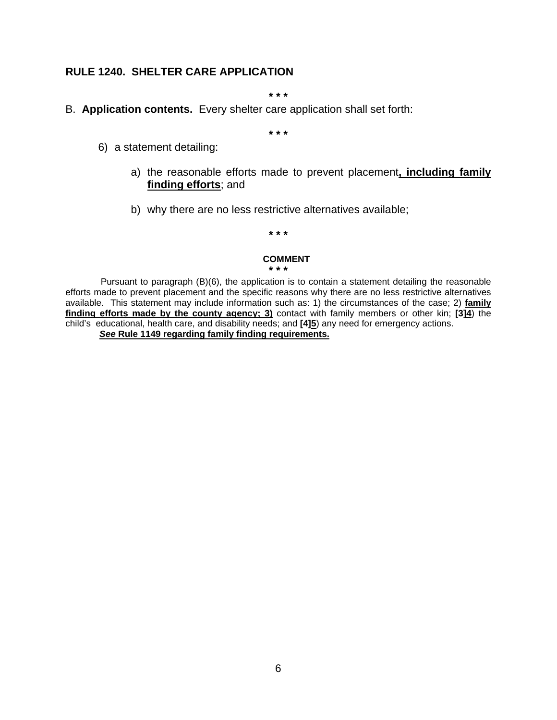# **RULE 1240. SHELTER CARE APPLICATION**

**\* \* \***

### B. **Application contents.** Every shelter care application shall set forth:

**\* \* \***

- 6) a statement detailing:
	- a) the reasonable efforts made to prevent placement**, including family finding efforts**; and
	- b) why there are no less restrictive alternatives available;

**\* \* \***

#### **COMMENT \* \* \***

Pursuant to paragraph (B)(6), the application is to contain a statement detailing the reasonable efforts made to prevent placement and the specific reasons why there are no less restrictive alternatives available. This statement may include information such as: 1) the circumstances of the case; 2) **family finding efforts made by the county agency; 3)** contact with family members or other kin; **[3]4**) the child's educational, health care, and disability needs; and **[4]5**) any need for emergency actions. *See* **Rule 1149 regarding family finding requirements.**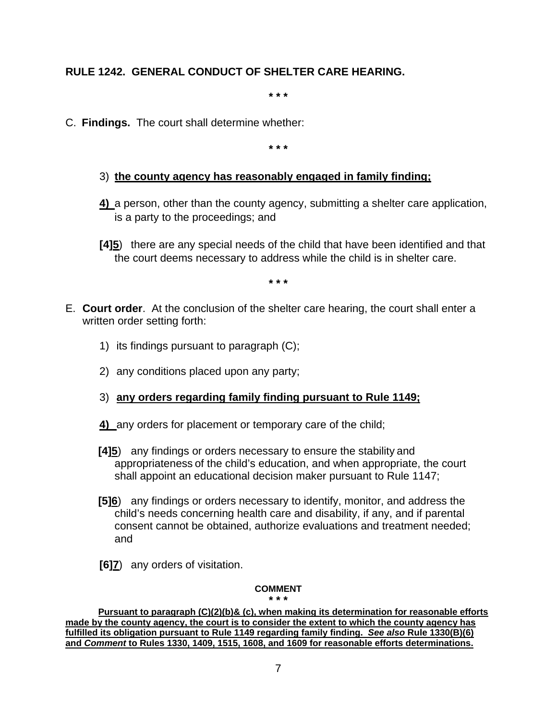# **RULE 1242. GENERAL CONDUCT OF SHELTER CARE HEARING.**

**\* \* \***

C. **Findings.** The court shall determine whether:

**\* \* \***

- 3) **the county agency has reasonably engaged in family finding;**
- **4)** a person, other than the county agency, submitting a shelter care application, is a party to the proceedings; and
- **[4]5**) there are any special needs of the child that have been identified and that the court deems necessary to address while the child is in shelter care.

**\* \* \***

- E. **Court order**. At the conclusion of the shelter care hearing, the court shall enter a written order setting forth:
	- 1) its findings pursuant to paragraph (C);
	- 2) any conditions placed upon any party;
	- 3) **any orders regarding family finding pursuant to Rule 1149;**
	- **4)** any orders for placement or temporary care of the child;
	- **[4]5**) any findings or orders necessary to ensure the stability and appropriateness of the child's education, and when appropriate, the court shall appoint an educational decision maker pursuant to Rule 1147;
	- **[5]6**) any findings or orders necessary to identify, monitor, and address the child's needs concerning health care and disability, if any, and if parental consent cannot be obtained, authorize evaluations and treatment needed; and
	- **[6]7**) any orders of visitation.

### **COMMENT**

**\* \* \* Pursuant to paragraph (C)(2)(b)& (c), when making its determination for reasonable efforts made by the county agency, the court is to consider the extent to which the county agency has fulfilled its obligation pursuant to Rule 1149 regarding family finding.** *See also* **Rule 1330(B)(6) and** *Comment* **to Rules 1330, 1409, 1515, 1608, and 1609 for reasonable efforts determinations.**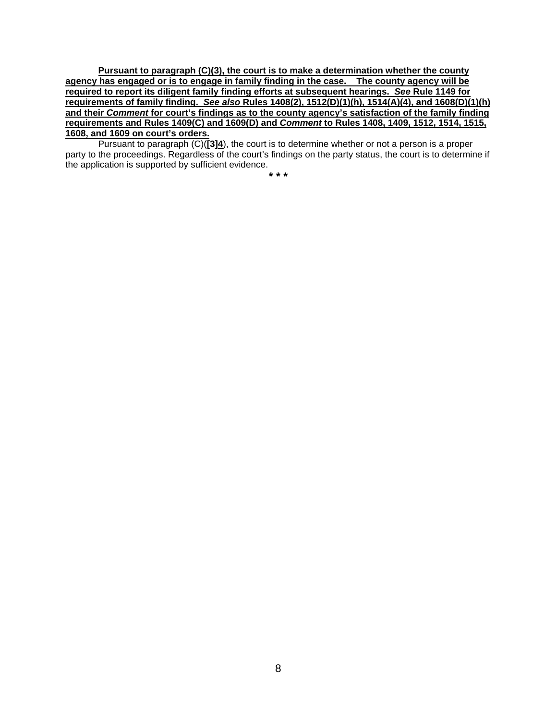**Pursuant to paragraph (C)(3), the court is to make a determination whether the county agency has engaged or is to engage in family finding in the case. The county agency will be required to report its diligent family finding efforts at subsequent hearings.** *See* **Rule 1149 for requirements of family finding.** *See also* **Rules 1408(2), 1512(D)(1)(h), 1514(A)(4), and 1608(D)(1)(h) and their** *Comment* **for court's findings as to the county agency's satisfaction of the family finding requirements and Rules 1409(C) and 1609(D) and** *Comment* **to Rules 1408, 1409, 1512, 1514, 1515, 1608, and 1609 on court's orders.** 

Pursuant to paragraph (C)(**[3]4**), the court is to determine whether or not a person is a proper party to the proceedings. Regardless of the court's findings on the party status, the court is to determine if the application is supported by sufficient evidence.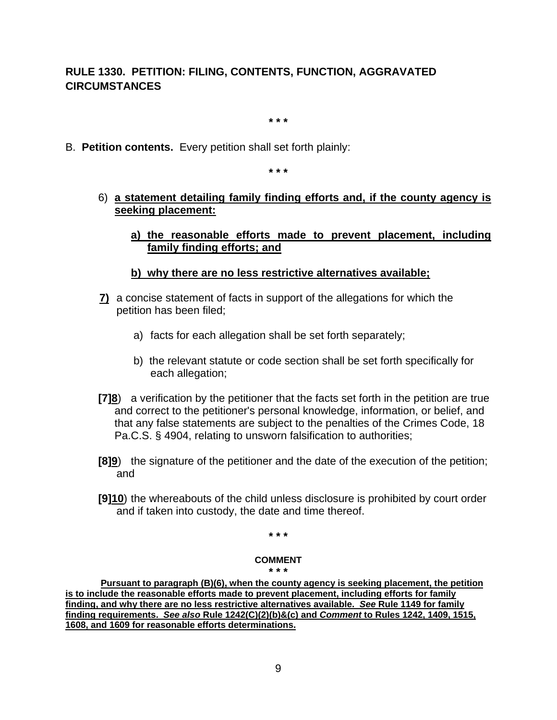# **RULE 1330. PETITION: FILING, CONTENTS, FUNCTION, AGGRAVATED CIRCUMSTANCES**

**\* \* \***

B. **Petition contents.** Every petition shall set forth plainly:

**\* \* \***

- 6) **a statement detailing family finding efforts and, if the county agency is seeking placement:**
	- **a) the reasonable efforts made to prevent placement, including family finding efforts; and**
	- **b) why there are no less restrictive alternatives available;**
- **7)** a concise statement of facts in support of the allegations for which the petition has been filed;
	- a) facts for each allegation shall be set forth separately;
	- b) the relevant statute or code section shall be set forth specifically for each allegation;
- **[7]8**) a verification by the petitioner that the facts set forth in the petition are true and correct to the petitioner's personal knowledge, information, or belief, and that any false statements are subject to the penalties of the Crimes Code, 18 Pa.C.S. § 4904, relating to unsworn falsification to authorities;
- **[8]9**) the signature of the petitioner and the date of the execution of the petition; and
- **[9]10**) the whereabouts of the child unless disclosure is prohibited by court order and if taken into custody, the date and time thereof.

**\* \* \***

### **COMMENT**

**\* \* \***

**Pursuant to paragraph (B)(6), when the county agency is seeking placement, the petition is to include the reasonable efforts made to prevent placement, including efforts for family finding, and why there are no less restrictive alternatives available.** *See* **Rule 1149 for family finding requirements.** *See also* **Rule 1242(C)(2)(b)&(c) and** *Comment* **to Rules 1242, 1409, 1515, 1608, and 1609 for reasonable efforts determinations.**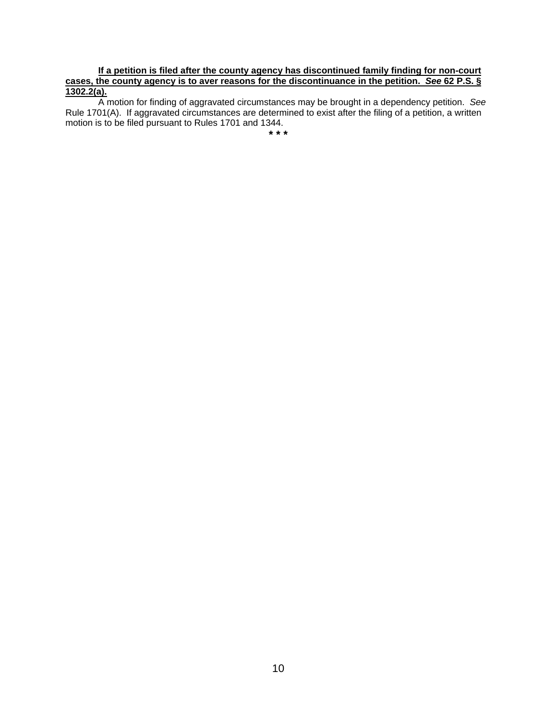### **If a petition is filed after the county agency has discontinued family finding for non-court cases, the county agency is to aver reasons for the discontinuance in the petition.** *See* **62 P.S. § 1302.2(a).**

A motion for finding of aggravated circumstances may be brought in a dependency petition. *See* Rule 1701(A). If aggravated circumstances are determined to exist after the filing of a petition, a written motion is to be filed pursuant to Rules 1701 and 1344.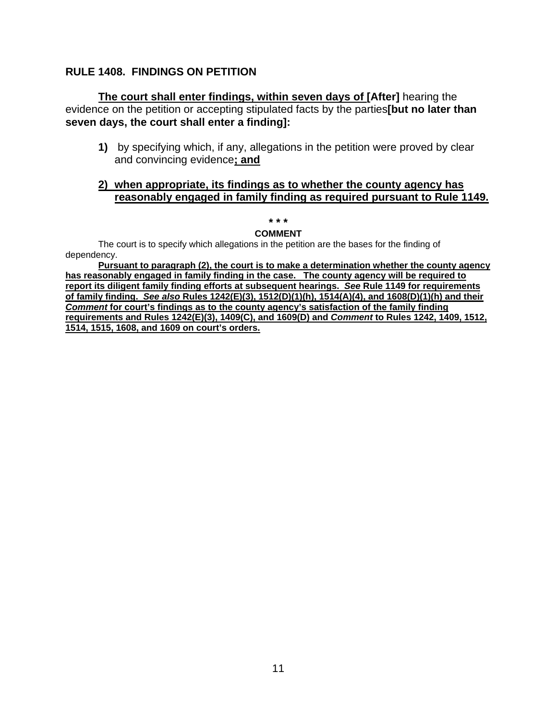# **RULE 1408. FINDINGS ON PETITION**

**The court shall enter findings, within seven days of [After]** hearing the evidence on the petition or accepting stipulated facts by the parties**[but no later than seven days, the court shall enter a finding]:**

**1)** by specifying which, if any, allegations in the petition were proved by clear and convincing evidence**; and**

# **2) when appropriate, its findings as to whether the county agency has reasonably engaged in family finding as required pursuant to Rule 1149.**

#### **\* \* \***

### **COMMENT**

The court is to specify which allegations in the petition are the bases for the finding of dependency.

**Pursuant to paragraph (2), the court is to make a determination whether the county agency has reasonably engaged in family finding in the case. The county agency will be required to report its diligent family finding efforts at subsequent hearings.** *See* **Rule 1149 for requirements of family finding.** *See also* **Rules 1242(E)(3), 1512(D)(1)(h), 1514(A)(4), and 1608(D)(1)(h) and their**  *Comment* **for court's findings as to the county agency's satisfaction of the family finding requirements and Rules 1242(E)(3), 1409(C), and 1609(D) and** *Comment* **to Rules 1242, 1409, 1512, 1514, 1515, 1608, and 1609 on court's orders.**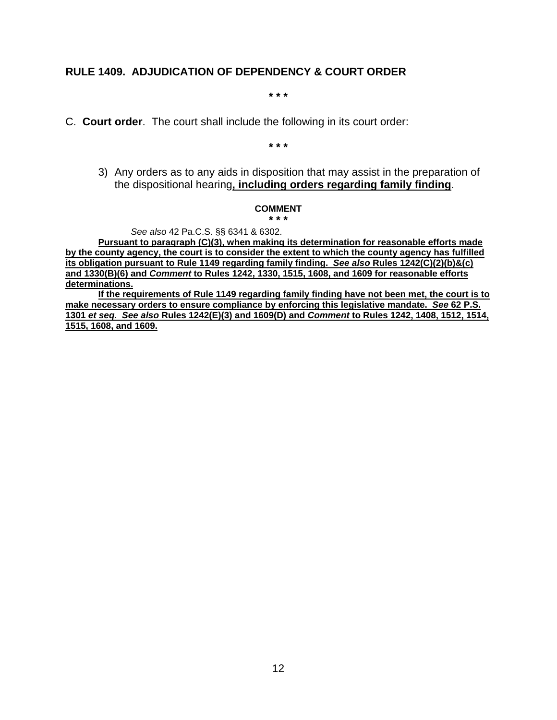# **RULE 1409. ADJUDICATION OF DEPENDENCY & COURT ORDER**

**\* \* \***

C. **Court order**. The court shall include the following in its court order:

**\* \* \***

3) Any orders as to any aids in disposition that may assist in the preparation of the dispositional hearing**, including orders regarding family finding**.

#### **COMMENT**

**\* \* \***

*See also* 42 Pa.C.S. §§ 6341 & 6302.

**Pursuant to paragraph (C)(3), when making its determination for reasonable efforts made by the county agency, the court is to consider the extent to which the county agency has fulfilled its obligation pursuant to Rule 1149 regarding family finding.** *See also* **Rules 1242(C)(2)(b)&(c) and 1330(B)(6) and** *Comment* **to Rules 1242, 1330, 1515, 1608, and 1609 for reasonable efforts determinations.**

**If the requirements of Rule 1149 regarding family finding have not been met, the court is to make necessary orders to ensure compliance by enforcing this legislative mandate.** *See* **62 P.S. 1301** *et seq. See also* **Rules 1242(E)(3) and 1609(D) and** *Comment* **to Rules 1242, 1408, 1512, 1514, 1515, 1608, and 1609.**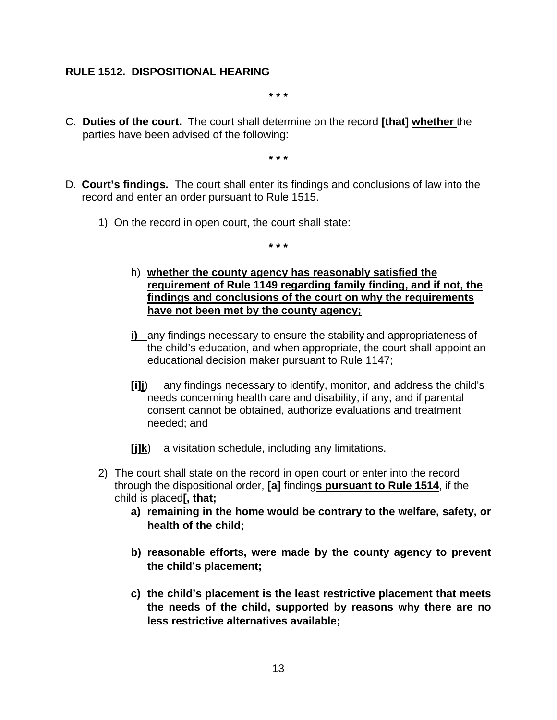# **RULE 1512. DISPOSITIONAL HEARING**

**\* \* \***

C. **Duties of the court.** The court shall determine on the record **[that] whether** the parties have been advised of the following:

**\* \* \***

- D. **Court's findings.** The court shall enter its findings and conclusions of law into the record and enter an order pursuant to Rule 1515.
	- 1) On the record in open court, the court shall state:

- h) **whether the county agency has reasonably satisfied the requirement of Rule 1149 regarding family finding, and if not, the findings and conclusions of the court on why the requirements have not been met by the county agency;**
- **i)** any findings necessary to ensure the stability and appropriateness of the child's education, and when appropriate, the court shall appoint an educational decision maker pursuant to Rule 1147;
- **[i]j**) any findings necessary to identify, monitor, and address the child's needs concerning health care and disability, if any, and if parental consent cannot be obtained, authorize evaluations and treatment needed; and
- **[j]k**) a visitation schedule, including any limitations.
- 2) The court shall state on the record in open court or enter into the record through the dispositional order, **[a]** finding**s pursuant to Rule 1514**, if the child is placed**[, that;**
	- **a) remaining in the home would be contrary to the welfare, safety, or health of the child;**
	- **b) reasonable efforts, were made by the county agency to prevent the child's placement;**
	- **c) the child's placement is the least restrictive placement that meets the needs of the child, supported by reasons why there are no less restrictive alternatives available;**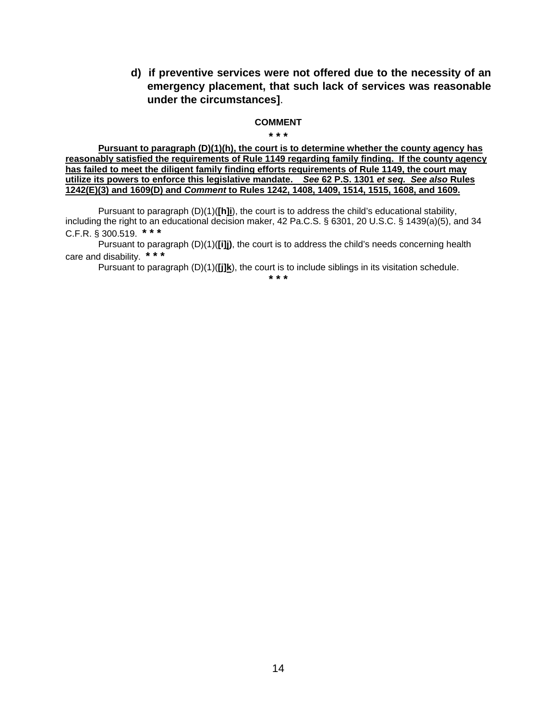**d) if preventive services were not offered due to the necessity of an emergency placement, that such lack of services was reasonable under the circumstances]**.

#### **COMMENT \* \* \***

**Pursuant to paragraph (D)(1)(h), the court is to determine whether the county agency has reasonably satisfied the requirements of Rule 1149 regarding family finding. If the county agency has failed to meet the diligent family finding efforts requirements of Rule 1149, the court may utilize its powers to enforce this legislative mandate.** *See* **62 P.S. 1301** *et seq. See also* **Rules 1242(E)(3) and 1609(D) and** *Comment* **to Rules 1242, 1408, 1409, 1514, 1515, 1608, and 1609.** 

Pursuant to paragraph (D)(1)(**[h]i**), the court is to address the child's educational stability, including the right to an educational decision maker, 42 Pa.C.S. § 6301, 20 U.S.C. § 1439(a)(5), and 34 C.F.R. § 300.519. **\* \* \***

Pursuant to paragraph (D)(1)(**[i]j)**, the court is to address the child's needs concerning health care and disability. **\* \* \***

Pursuant to paragraph (D)(1)(**[j]k**), the court is to include siblings in its visitation schedule.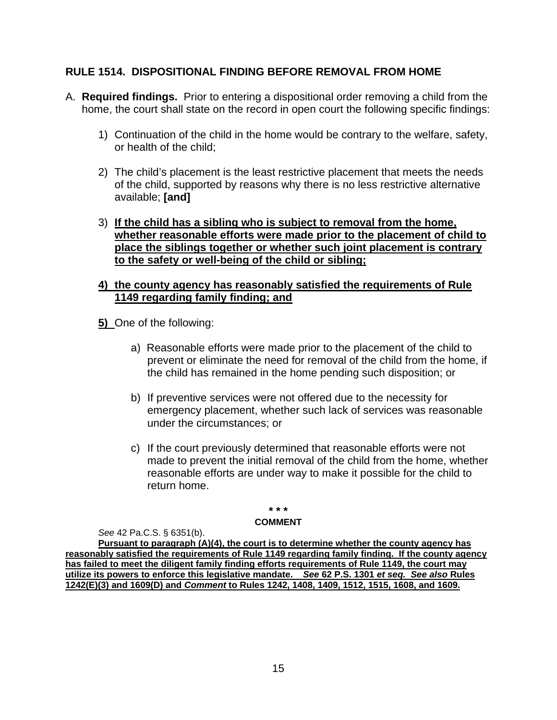# **RULE 1514. DISPOSITIONAL FINDING BEFORE REMOVAL FROM HOME**

- A. **Required findings.** Prior to entering a dispositional order removing a child from the home, the court shall state on the record in open court the following specific findings:
	- 1) Continuation of the child in the home would be contrary to the welfare, safety, or health of the child;
	- 2) The child's placement is the least restrictive placement that meets the needs of the child, supported by reasons why there is no less restrictive alternative available; **[and]**
	- 3) **If the child has a sibling who is subject to removal from the home, whether reasonable efforts were made prior to the placement of child to place the siblings together or whether such joint placement is contrary to the safety or well-being of the child or sibling;**
	- **4) the county agency has reasonably satisfied the requirements of Rule 1149 regarding family finding; and**
	- **5)** One of the following:
		- a) Reasonable efforts were made prior to the placement of the child to prevent or eliminate the need for removal of the child from the home, if the child has remained in the home pending such disposition; or
		- b) If preventive services were not offered due to the necessity for emergency placement, whether such lack of services was reasonable under the circumstances; or
		- c) If the court previously determined that reasonable efforts were not made to prevent the initial removal of the child from the home, whether reasonable efforts are under way to make it possible for the child to return home.

### **\* \* \***

### **COMMENT**

*See* 42 Pa.C.S. § 6351(b).

**Pursuant to paragraph (A)(4), the court is to determine whether the county agency has reasonably satisfied the requirements of Rule 1149 regarding family finding. If the county agency has failed to meet the diligent family finding efforts requirements of Rule 1149, the court may utilize its powers to enforce this legislative mandate.** *See* **62 P.S. 1301** *et seq. See also* **Rules 1242(E)(3) and 1609(D) and** *Comment* **to Rules 1242, 1408, 1409, 1512, 1515, 1608, and 1609.**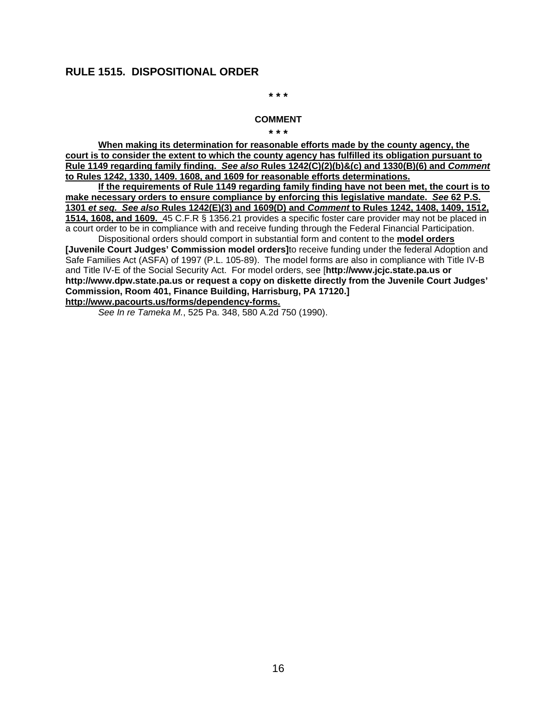### **RULE 1515. DISPOSITIONAL ORDER**

**\* \* \***

### **COMMENT**

**\* \* \***

**When making its determination for reasonable efforts made by the county agency, the court is to consider the extent to which the county agency has fulfilled its obligation pursuant to Rule 1149 regarding family finding.** *See also* **Rules 1242(C)(2)(b)&(c) and 1330(B)(6) and** *Comment*  **to Rules 1242, 1330, 1409. 1608, and 1609 for reasonable efforts determinations.**

**If the requirements of Rule 1149 regarding family finding have not been met, the court is to make necessary orders to ensure compliance by enforcing this legislative mandate.** *See* **62 P.S. 1301** *et seq. See also* **Rules 1242(E)(3) and 1609(D) and** *Comment* **to Rules 1242, 1408, 1409, 1512, 1514, 1608, and 1609.** 45 C.F.R § 1356.21 provides a specific foster care provider may not be placed in a court order to be in compliance with and receive funding through the Federal Financial Participation. Dispositional orders should comport in substantial form and content to the **model orders** 

**[Juvenile Court Judges' Commission model orders]**to receive funding under the federal Adoption and Safe Families Act (ASFA) of 1997 (P.L. 105-89). The model forms are also in compliance with Title IV-B and Title IV-E of the Social Security Act. For model orders, see [**http://www.jcjc.state.pa.us or http://www.dpw.state.pa.us or request a copy on diskette directly from the Juvenile Court Judges' Commission, Room 401, Finance Building, Harrisburg, PA 17120.] http://www.pacourts.us/forms/dependency-forms.** 

*See In re Tameka M.*, 525 Pa. 348, 580 A.2d 750 (1990).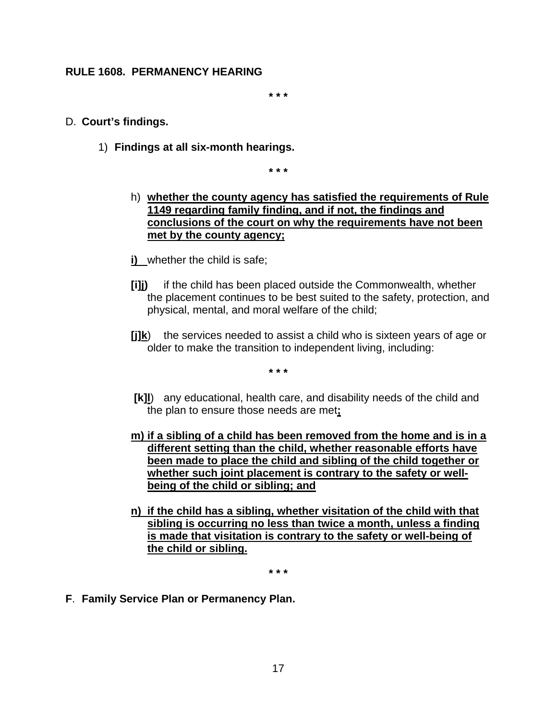# **RULE 1608. PERMANENCY HEARING**

**\* \* \***

### D. **Court's findings.**

1) **Findings at all six-month hearings.**

**\* \* \***

- h) **whether the county agency has satisfied the requirements of Rule 1149 regarding family finding, and if not, the findings and conclusions of the court on why the requirements have not been met by the county agency;**
- **i)** whether the child is safe;
- **[i]j)** if the child has been placed outside the Commonwealth, whether the placement continues to be best suited to the safety, protection, and physical, mental, and moral welfare of the child;
- **[j]k**) the services needed to assist a child who is sixteen years of age or older to make the transition to independent living, including:

**\* \* \***

- **[k]l**) any educational, health care, and disability needs of the child and the plan to ensure those needs are met**;**
- **m) if a sibling of a child has been removed from the home and is in a different setting than the child, whether reasonable efforts have been made to place the child and sibling of the child together or whether such joint placement is contrary to the safety or wellbeing of the child or sibling; and**
- **n) if the child has a sibling, whether visitation of the child with that sibling is occurring no less than twice a month, unless a finding is made that visitation is contrary to the safety or well-being of the child or sibling.**

**\* \* \***

**F**. **Family Service Plan or Permanency Plan.**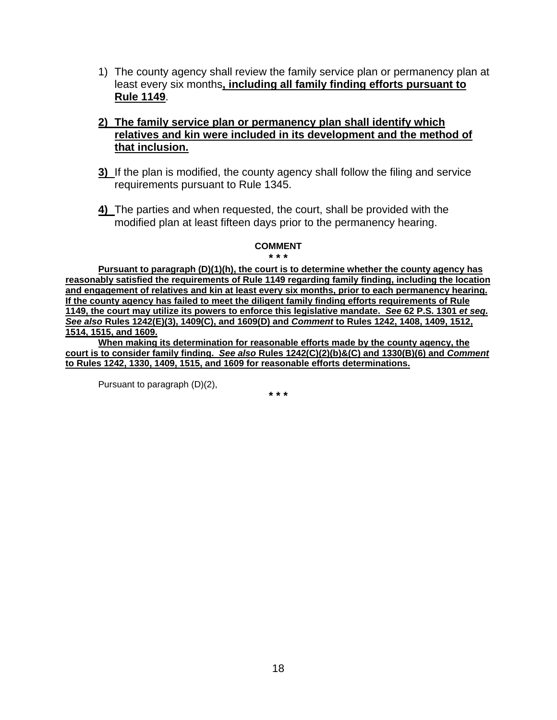- 1) The county agency shall review the family service plan or permanency plan at least every six months**, including all family finding efforts pursuant to Rule 1149**.
- **2) The family service plan or permanency plan shall identify which relatives and kin were included in its development and the method of that inclusion.**
- **3)** If the plan is modified, the county agency shall follow the filing and service requirements pursuant to Rule 1345.
- **4)** The parties and when requested, the court, shall be provided with the modified plan at least fifteen days prior to the permanency hearing.

# **COMMENT**

**\* \* \***

**Pursuant to paragraph (D)(1)(h), the court is to determine whether the county agency has reasonably satisfied the requirements of Rule 1149 regarding family finding, including the location and engagement of relatives and kin at least every six months, prior to each permanency hearing. If the county agency has failed to meet the diligent family finding efforts requirements of Rule 1149, the court may utilize its powers to enforce this legislative mandate.** *See* **62 P.S. 1301** *et seq. See also* **Rules 1242(E)(3), 1409(C), and 1609(D) and** *Comment* **to Rules 1242, 1408, 1409, 1512, 1514, 1515, and 1609.** 

**When making its determination for reasonable efforts made by the county agency, the court is to consider family finding.** *See also* **Rules 1242(C)(2)(b)&(C) and 1330(B)(6) and** *Comment*  **to Rules 1242, 1330, 1409, 1515, and 1609 for reasonable efforts determinations.**

Pursuant to paragraph (D)(2),